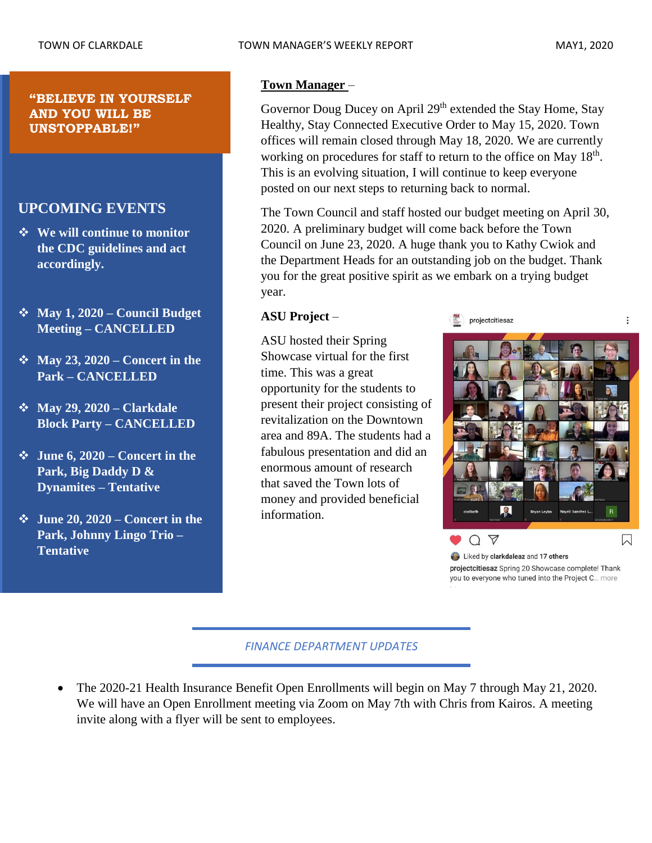## **UPCOMING EVENTS**

- ❖ **We will continue to monitor the CDC guidelines and act accordingly.**
- ❖ **May 1, 2020 – Council Budget Meeting – CANCELLED**
- ❖ **May 23, 2020 – Concert in the Park – CANCELLED**
- ❖ **May 29, 2020 – Clarkdale Block Party – CANCELLED**
- ❖ **June 6, 2020 – Concert in the Park, Big Daddy D & Dynamites – Tentative**
- ❖ **June 20, 2020 – Concert in the Park, Johnny Lingo Trio – Tentative**

 $\vdots$ 

## **Town Manager** –

Governor Doug Ducey on April 29<sup>th</sup> extended the Stay Home, Stay Healthy, Stay Connected Executive Order to May 15, 2020. Town offices will remain closed through May 18, 2020. We are currently working on procedures for staff to return to the office on May 18<sup>th</sup>. This is an evolving situation, I will continue to keep everyone posted on our next steps to returning back to normal.

The Town Council and staff hosted our budget meeting on April 30, 2020. A preliminary budget will come back before the Town Council on June 23, 2020. A huge thank you to Kathy Cwiok and the Department Heads for an outstanding job on the budget. Thank you for the great positive spirit as we embark on a trying budget year.

## **ASU Project** –

ASU hosted their Spring Showcase virtual for the first time. This was a great opportunity for the students to present their project consisting of revitalization on the Downtown area and 89A. The students had a fabulous presentation and did an enormous amount of research that saved the Town lots of money and provided beneficial information.



projectcitiesaz



projectcitiesaz Spring 20 Showcase complete! Thank you to everyone who tuned into the Project C... more

## *FINANCE DEPARTMENT UPDATES*

• The 2020-21 Health Insurance Benefit Open Enrollments will begin on May 7 through May 21, 2020. We will have an Open Enrollment meeting via Zoom on May 7th with Chris from Kairos. A meeting invite along with a flyer will be sent to employees.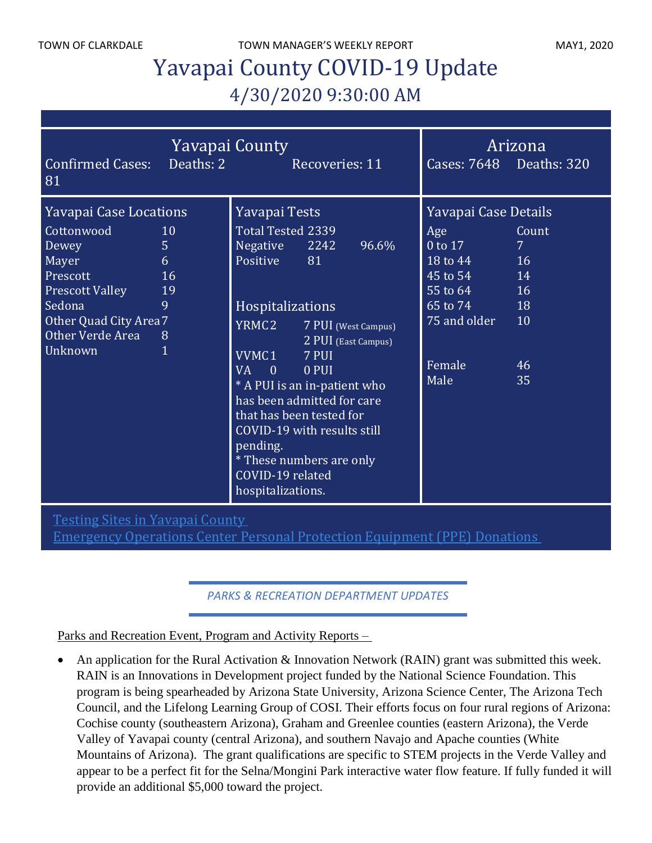TOWN OF CLARKDALE TOWN MANAGER'S WEEKLY REPORT TOWN OF CLARKDALE

# Yavapai County COVID-19 Update 4/30/2020 9:30:00 AM

| Yavapai County<br>Deaths: 2<br><b>Confirmed Cases:</b><br>Recoveries: 11<br>81                                                                                         |                                                                 |                                                                                                                                                                                                                                                                                                                                                                                                                      | Cases: 7648 Deaths: 320                                                                                                                                                 | Arizona                                                      |
|------------------------------------------------------------------------------------------------------------------------------------------------------------------------|-----------------------------------------------------------------|----------------------------------------------------------------------------------------------------------------------------------------------------------------------------------------------------------------------------------------------------------------------------------------------------------------------------------------------------------------------------------------------------------------------|-------------------------------------------------------------------------------------------------------------------------------------------------------------------------|--------------------------------------------------------------|
| <b>Yavapai Case Locations</b><br>Cottonwood<br>Dewey<br>Mayer<br>Prescott<br><b>Prescott Valley</b><br>Sedona<br>Other Quad City Area 7<br>Other Verde Area<br>Unknown | 10<br>5 <sup>1</sup><br>6<br>16<br>19<br>9<br>8<br>$\mathbf{1}$ | Yavapai Tests<br>Total Tested 2339<br>Negative 2242<br>96.6%<br>Positive 81<br>Hospitalizations<br>YRMC2 7 PUI (West Campus)<br>2 PUI (East Campus)<br>VVMC1 7 PUI<br><b>VA</b><br>$\overline{0}$<br>0 PUI<br>* A PUI is an in-patient who<br>has been admitted for care<br>that has been tested for<br>COVID-19 with results still<br>pending.<br>* These numbers are only<br>COVID-19 related<br>hospitalizations. | Yavapai Case Details<br>Age<br>0 to 17<br>$18 \text{ to } 44$<br>$\overline{45}$ to $\overline{54}$ 14<br>$55$ to $64$<br>65 to 74 18<br>75 and older<br>Female<br>Male | Count<br>7 <sup>1</sup><br><b>16</b><br>16<br>10<br>46<br>35 |

Testing Sites in [Yavapai](http://www.yavapai.us/Portals/39/Testing%20Sites%20in%20Yavapai%20County.pdf) County

[Emergency](http://www.yavapai.us/Portals/39/PPE%20Donations.pdf) Operations Center Personal Protection Equipment (PPE) Donations

*PARKS & RECREATION DEPARTMENT UPDATES*

Parks and Recreation Event, Program and Activity Reports –

• An application for the Rural Activation & Innovation Network (RAIN) grant was submitted this week. RAIN is an Innovations in Development project funded by the National Science Foundation. This program is being spearheaded by Arizona State University, Arizona Science Center, The Arizona Tech Council, and the Lifelong Learning Group of COSI. Their efforts focus on four rural regions of Arizona: Cochise county (southeastern Arizona), Graham and Greenlee counties (eastern Arizona), the Verde Valley of Yavapai county (central Arizona), and southern Navajo and Apache counties (White Mountains of Arizona). The grant qualifications are specific to STEM projects in the Verde Valley and appear to be a perfect fit for the Selna/Mongini Park interactive water flow feature. If fully funded it will provide an additional \$5,000 toward the project.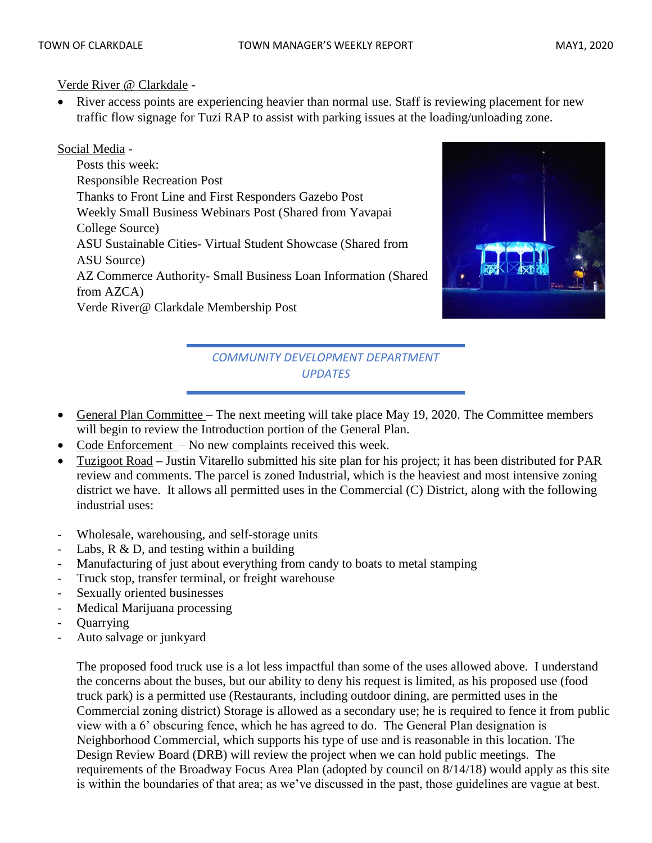Verde River @ Clarkdale -

River access points are experiencing heavier than normal use. Staff is reviewing placement for new traffic flow signage for Tuzi RAP to assist with parking issues at the loading/unloading zone.

## Social Media -

Posts this week: Responsible Recreation Post Thanks to Front Line and First Responders Gazebo Post Weekly Small Business Webinars Post (Shared from Yavapai College Source) ASU Sustainable Cities- Virtual Student Showcase (Shared from ASU Source) AZ Commerce Authority- Small Business Loan Information (Shared from AZCA) Verde River@ Clarkdale Membership Post



# *COMMUNITY DEVELOPMENT DEPARTMENT UPDATES*

- General Plan Committee The next meeting will take place May 19, 2020. The Committee members will begin to review the Introduction portion of the General Plan.
- Code Enforcement No new complaints received this week.
- Tuzigoot Road **–** Justin Vitarello submitted his site plan for his project; it has been distributed for PAR review and comments. The parcel is zoned Industrial, which is the heaviest and most intensive zoning district we have. It allows all permitted uses in the Commercial (C) District, along with the following industrial uses:
- Wholesale, warehousing, and self-storage units
- Labs,  $R \& D$ , and testing within a building
- Manufacturing of just about everything from candy to boats to metal stamping
- Truck stop, transfer terminal, or freight warehouse
- Sexually oriented businesses
- Medical Marijuana processing
- **Quarrying**
- Auto salvage or junkyard

The proposed food truck use is a lot less impactful than some of the uses allowed above. I understand the concerns about the buses, but our ability to deny his request is limited, as his proposed use (food truck park) is a permitted use (Restaurants, including outdoor dining, are permitted uses in the Commercial zoning district) Storage is allowed as a secondary use; he is required to fence it from public view with a 6' obscuring fence, which he has agreed to do. The General Plan designation is Neighborhood Commercial, which supports his type of use and is reasonable in this location. The Design Review Board (DRB) will review the project when we can hold public meetings. The requirements of the Broadway Focus Area Plan (adopted by council on 8/14/18) would apply as this site is within the boundaries of that area; as we've discussed in the past, those guidelines are vague at best.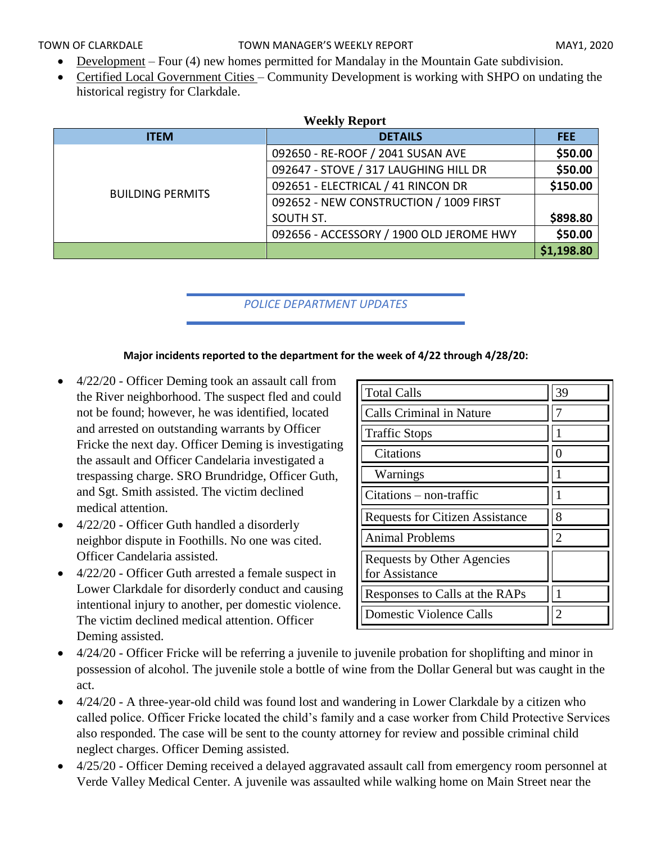- Development Four (4) new homes permitted for Mandalay in the Mountain Gate subdivision.
- Certified Local Government Cities Community Development is working with SHPO on undating the historical registry for Clarkdale.

| <b>Weekly Report</b>    |                                          |            |  |  |
|-------------------------|------------------------------------------|------------|--|--|
| <b>ITEM</b>             | <b>DETAILS</b>                           | FEE.       |  |  |
|                         | 092650 - RE-ROOF / 2041 SUSAN AVE        | \$50.00    |  |  |
|                         | 092647 - STOVE / 317 LAUGHING HILL DR    | \$50.00    |  |  |
| <b>BUILDING PERMITS</b> | 092651 - ELECTRICAL / 41 RINCON DR       | \$150.00   |  |  |
|                         | 092652 - NEW CONSTRUCTION / 1009 FIRST   |            |  |  |
|                         | SOUTH ST.                                | \$898.80   |  |  |
|                         | 092656 - ACCESSORY / 1900 OLD JEROME HWY | \$50.00    |  |  |
|                         |                                          | \$1,198.80 |  |  |

## *POLICE DEPARTMENT UPDATES*

#### **Major incidents reported to the department for the week of 4/22 through 4/28/20:**

- 4/22/20 Officer Deming took an assault call from the River neighborhood. The suspect fled and could not be found; however, he was identified, located and arrested on outstanding warrants by Officer Fricke the next day. Officer Deming is investigating the assault and Officer Candelaria investigated a trespassing charge. SRO Brundridge, Officer Guth, and Sgt. Smith assisted. The victim declined medical attention.
- 4/22/20 Officer Guth handled a disorderly neighbor dispute in Foothills. No one was cited. Officer Candelaria assisted.
- 4/22/20 Officer Guth arrested a female suspect in Lower Clarkdale for disorderly conduct and causing intentional injury to another, per domestic violence. The victim declined medical attention. Officer Deming assisted.

| <b>Total Calls</b>                           | 39             |
|----------------------------------------------|----------------|
| <b>Calls Criminal in Nature</b>              |                |
| <b>Traffic Stops</b>                         |                |
| Citations                                    | $\mathbf{0}$   |
| Warnings                                     |                |
| $Citations - non-traffic$                    |                |
| <b>Requests for Citizen Assistance</b>       | 8              |
| <b>Animal Problems</b>                       | $\overline{2}$ |
| Requests by Other Agencies<br>for Assistance |                |
| Responses to Calls at the RAPs               |                |
| <b>Domestic Violence Calls</b>               |                |

- 4/24/20 Officer Fricke will be referring a juvenile to juvenile probation for shoplifting and minor in possession of alcohol. The juvenile stole a bottle of wine from the Dollar General but was caught in the act.
- 4/24/20 A three-year-old child was found lost and wandering in Lower Clarkdale by a citizen who called police. Officer Fricke located the child's family and a case worker from Child Protective Services also responded. The case will be sent to the county attorney for review and possible criminal child neglect charges. Officer Deming assisted.
- 4/25/20 Officer Deming received a delayed aggravated assault call from emergency room personnel at Verde Valley Medical Center. A juvenile was assaulted while walking home on Main Street near the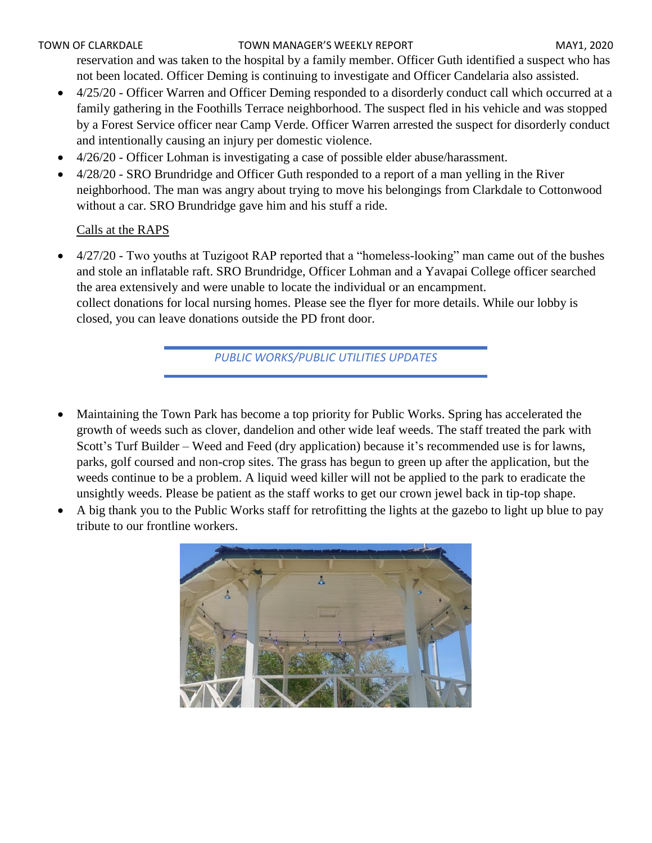### TOWN OF CLARKDALE TOWN MANAGER'S WEEKLY REPORT TOWN OF CLARKDALE

reservation and was taken to the hospital by a family member. Officer Guth identified a suspect who has not been located. Officer Deming is continuing to investigate and Officer Candelaria also assisted.

- 4/25/20 Officer Warren and Officer Deming responded to a disorderly conduct call which occurred at a family gathering in the Foothills Terrace neighborhood. The suspect fled in his vehicle and was stopped by a Forest Service officer near Camp Verde. Officer Warren arrested the suspect for disorderly conduct and intentionally causing an injury per domestic violence.
- 4/26/20 Officer Lohman is investigating a case of possible elder abuse/harassment.
- 4/28/20 SRO Brundridge and Officer Guth responded to a report of a man yelling in the River neighborhood. The man was angry about trying to move his belongings from Clarkdale to Cottonwood without a car. SRO Brundridge gave him and his stuff a ride.

## Calls at the RAPS

• 4/27/20 - Two youths at Tuzigoot RAP reported that a "homeless-looking" man came out of the bushes and stole an inflatable raft. SRO Brundridge, Officer Lohman and a Yavapai College officer searched the area extensively and were unable to locate the individual or an encampment. collect donations for local nursing homes. Please see the flyer for more details. While our lobby is closed, you can leave donations outside the PD front door.

*PUBLIC WORKS/PUBLIC UTILITIES UPDATES*

- Maintaining the Town Park has become a top priority for Public Works. Spring has accelerated the growth of weeds such as clover, dandelion and other wide leaf weeds. The staff treated the park with Scott's Turf Builder – Weed and Feed (dry application) because it's recommended use is for lawns, parks, golf coursed and non-crop sites. The grass has begun to green up after the application, but the weeds continue to be a problem. A liquid weed killer will not be applied to the park to eradicate the unsightly weeds. Please be patient as the staff works to get our crown jewel back in tip-top shape.
- A big thank you to the Public Works staff for retrofitting the lights at the gazebo to light up blue to pay tribute to our frontline workers.